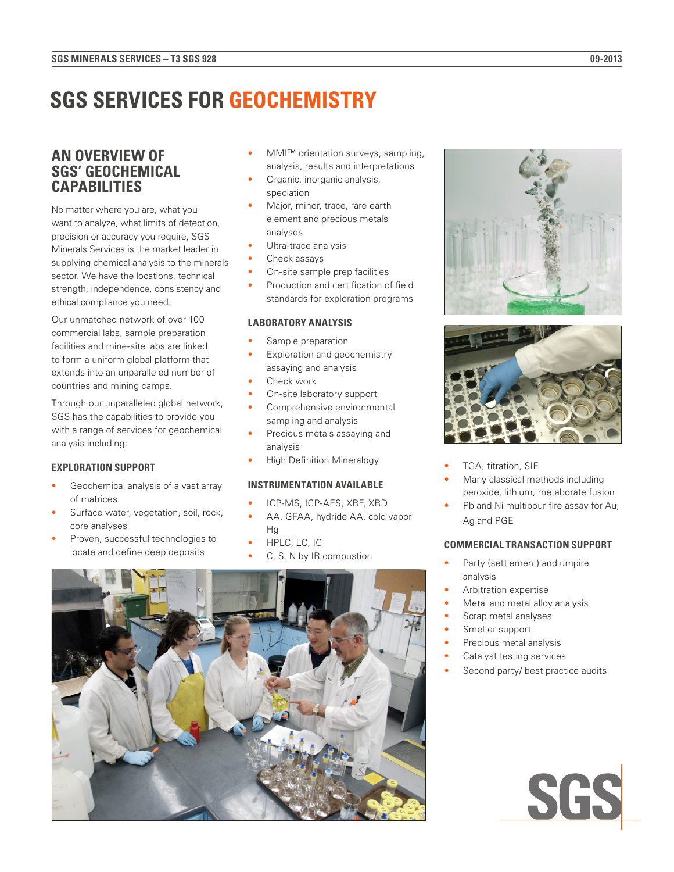# **SGS SERVICES FOR GEOCHEMISTRY**

# **AN OVERVIEW OF SGS' GEOCHEMICAL CAPABILITIES**

No matter where you are, what you want to analyze, what limits of detection, precision or accuracy you require, SGS Minerals Services is the market leader in supplying chemical analysis to the minerals sector. We have the locations, technical strength, independence, consistency and ethical compliance you need.

Our unmatched network of over 100 commercial labs, sample preparation facilities and mine-site labs are linked to form a uniform global platform that extends into an unparalleled number of countries and mining camps.

Through our unparalleled global network, SGS has the capabilities to provide you with a range of services for geochemical analysis including:

### **EXPLORATION SUPPORT**

- Geochemical analysis of a vast array of matrices
- Surface water, vegetation, soil, rock, core analyses
- Proven, successful technologies to locate and define deep deposits
- **MMI™ orientation surveys, sampling,** analysis, results and interpretations
- Organic, inorganic analysis, speciation
- Major, minor, trace, rare earth element and precious metals analyses
- Ultra-trace analysis
- Check assays
- On-site sample prep facilities
- Production and certification of field standards for exploration programs

#### **LABORATORY ANALYSIS**

- Sample preparation
- Exploration and geochemistry assaying and analysis
- Check work
- On-site laboratory support Comprehensive environmental
- sampling and analysis Precious metals assaying and
- analysis
- High Definition Mineralogy

### **INSTRUMENTATION AVAILABLE**

- ICP-MS, ICP-AES, XRF, XRD
- AA, GFAA, hydride AA, cold vapor Hg
- HPLC, LC, IC
- C, S, N by IR combustion







- TGA, titration, SIE
- Many classical methods including peroxide, lithium, metaborate fusion
- Pb and Ni multipour fire assay for Au, Ag and PGE

# **COMMERCIAL TRANSACTION SUPPORT**

- Party (settlement) and umpire analysis
- Arbitration expertise
- Metal and metal alloy analysis
- Scrap metal analyses
- Smelter support
- Precious metal analysis
- Catalyst testing services
- Second party/ best practice audits